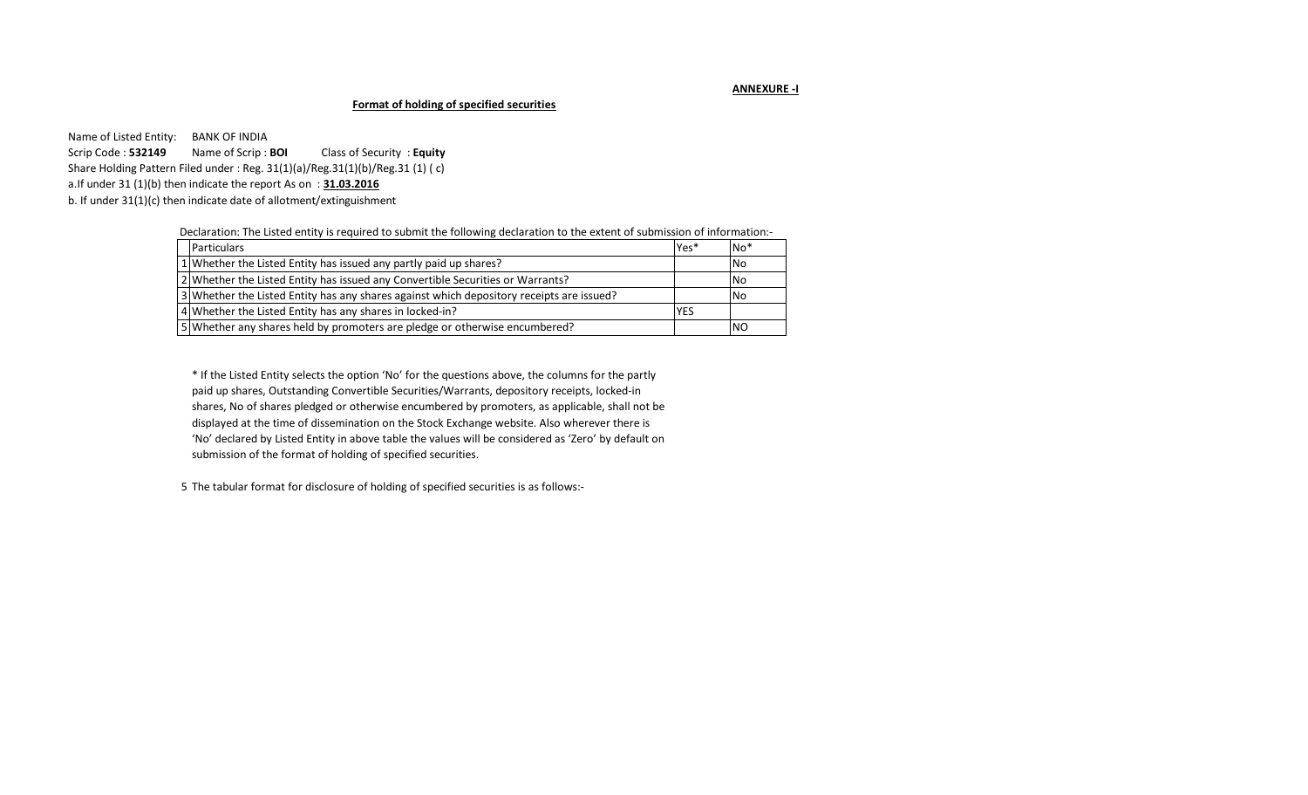### **ANNEXURE -I**

# **Format of holding of specified securities**

Name of Listed Entity: BANK OF INDIA Scrip Code : **532149** Name of Scrip : **BOI** Class of Security : **Equity**  Share Holding Pattern Filed under : Reg. 31(1)(a)/Reg.31(1)(b)/Reg.31 (1) ( c) a.If under 31 (1)(b) then indicate the report As on : **31.03.2016** b. If under 31(1)(c) then indicate date of allotment/extinguishment

Declaration: The Listed entity is required to submit the following declaration to the extent of submission of information:-

| <b>Particulars</b>                                                                       | Yes* | $No*$     |
|------------------------------------------------------------------------------------------|------|-----------|
| 1 Whether the Listed Entity has issued any partly paid up shares?                        |      | <b>No</b> |
| 2 Whether the Listed Entity has issued any Convertible Securities or Warrants?           |      | <b>No</b> |
| 3 Whether the Listed Entity has any shares against which depository receipts are issued? |      | <b>No</b> |
| 4 Whether the Listed Entity has any shares in locked-in?                                 | YES  |           |
| 5 Whether any shares held by promoters are pledge or otherwise encumbered?               |      | <b>NO</b> |

\* If the Listed Entity selects the option 'No' for the questions above, the columns for the partly paid up shares, Outstanding Convertible Securities/Warrants, depository receipts, locked-in shares, No of shares pledged or otherwise encumbered by promoters, as applicable, shall not be displayed at the time of dissemination on the Stock Exchange website. Also wherever there is 'No' declared by Listed Entity in above table the values will be considered as 'Zero' by default on submission of the format of holding of specified securities.

5 The tabular format for disclosure of holding of specified securities is as follows:-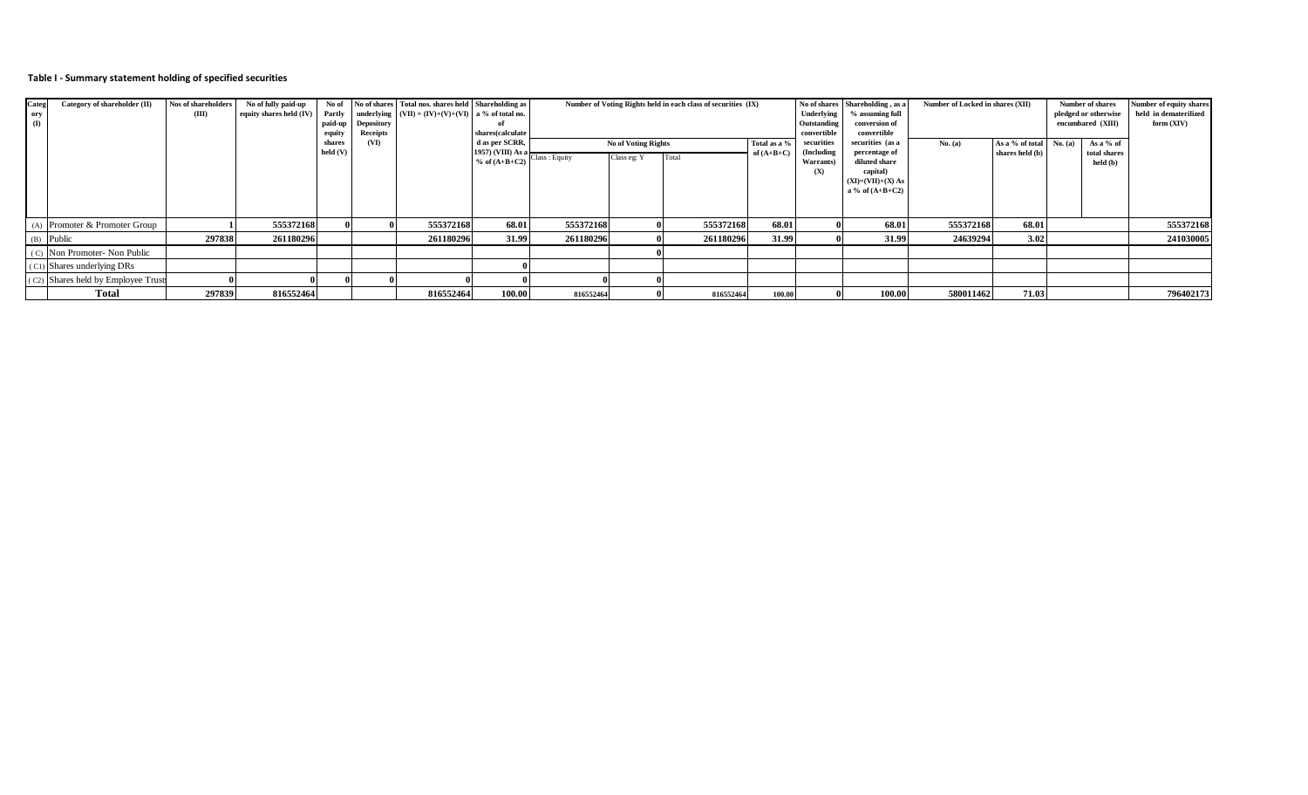#### **Table I - Summary statement holding of specified securities**

| Categ        | Category of shareholder (II)       | Nos of shareholders | No of fully paid-up     | No of    |                   | No of shares Total nos, shares held Shareholding as |                                                        |           |                     | Number of Voting Rights held in each class of securities (IX) |              |                            | No of shares Shareholding, as a | Number of Locked in shares (XII) |                 | Number of shares     |              | Number of equity shares |
|--------------|------------------------------------|---------------------|-------------------------|----------|-------------------|-----------------------------------------------------|--------------------------------------------------------|-----------|---------------------|---------------------------------------------------------------|--------------|----------------------------|---------------------------------|----------------------------------|-----------------|----------------------|--------------|-------------------------|
| ory          |                                    | (III)               | equity shares held (IV) | Partly   |                   | underlying $(VII) = (IV)+(V)+(VI)$ a % of total no. |                                                        |           |                     |                                                               |              | Underlying                 | % assuming full                 |                                  |                 | pledged or otherwise |              | held in dematerilized   |
| $\mathbf{I}$ |                                    |                     |                         | paid-up  | <b>Depository</b> |                                                     |                                                        |           |                     |                                                               |              | Outstanding                | conversion of                   |                                  |                 | encumbared (XIII)    |              | form (XIV)              |
|              |                                    |                     |                         | equity   | Receipts          |                                                     | shares(calculate                                       |           |                     |                                                               |              | convertible<br>convertible |                                 |                                  |                 |                      |              |                         |
|              |                                    |                     |                         | shares   | (VI)              |                                                     | d as per SCRR,                                         |           | No of Voting Rights |                                                               | Total as a % | securities                 | securities (as a                | No. (a)                          | As a % of total | No. (a)              | As a % of    |                         |
|              |                                    |                     |                         | held (V) |                   |                                                     | 1957) (VIII) As a<br>$\%$ of $(A+B+C2)$ Class : Equity |           | Class eg: Y         |                                                               | of $(A+B+C)$ | (Including                 | percentage of                   |                                  | shares held (b) |                      | total shares |                         |
|              |                                    |                     |                         |          |                   |                                                     |                                                        |           |                     |                                                               |              | <b>Warrants</b>            | diluted share                   |                                  |                 |                      | held (b)     |                         |
|              |                                    |                     |                         |          |                   |                                                     |                                                        |           |                     |                                                               |              | (X)                        | capital)<br>$(XI)=(VII)+(X) As$ |                                  |                 |                      |              |                         |
|              |                                    |                     |                         |          |                   |                                                     |                                                        |           |                     |                                                               |              |                            | a % of $(A+B+C2)$               |                                  |                 |                      |              |                         |
|              |                                    |                     |                         |          |                   |                                                     |                                                        |           |                     |                                                               |              |                            |                                 |                                  |                 |                      |              |                         |
|              |                                    |                     |                         |          |                   |                                                     |                                                        |           |                     |                                                               |              |                            |                                 |                                  |                 |                      |              |                         |
|              |                                    |                     |                         |          |                   |                                                     |                                                        |           |                     |                                                               |              |                            |                                 |                                  |                 |                      |              |                         |
|              | (A) Promoter & Promoter Group      |                     | 555372168               |          |                   | 555372168                                           | 68.01                                                  | 555372168 |                     | 555372168                                                     | 68.01        |                            | 68.01                           | 555372168                        | 68.01           |                      |              | 555372168               |
|              | (B) Public                         | 297838              | 261180296               |          |                   | 261180296                                           | 31.99                                                  | 261180296 |                     | 261180296                                                     | 31.99        |                            | 31.99                           | 24639294                         | 3.02            |                      |              | 241030005               |
|              | (C) Non Promoter- Non Public       |                     |                         |          |                   |                                                     |                                                        |           |                     |                                                               |              |                            |                                 |                                  |                 |                      |              |                         |
|              | (C1) Shares underlying DRs         |                     |                         |          |                   |                                                     |                                                        |           |                     |                                                               |              |                            |                                 |                                  |                 |                      |              |                         |
|              | (C2) Shares held by Employee Trust |                     |                         |          |                   |                                                     |                                                        |           |                     |                                                               |              |                            |                                 |                                  |                 |                      |              |                         |
|              | <b>Total</b>                       | 297839              | 816552464               |          |                   | 816552464                                           | 100.00                                                 | 816552464 |                     | 816552464                                                     | 100.00       |                            | 100.00                          | 580011462                        | 71.03           |                      |              | 796402173               |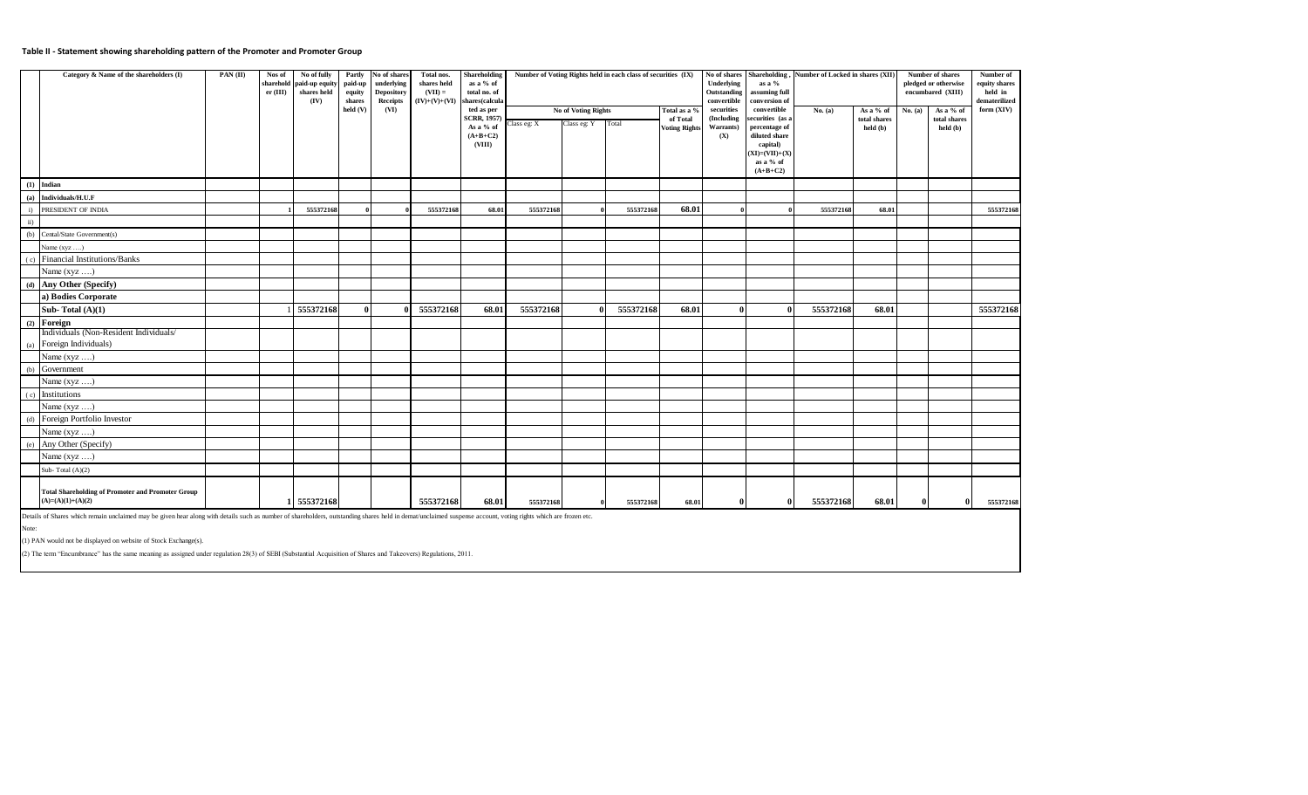#### **Table II - Statement showing shareholding pattern of the Promoter and Promoter Group**

|               | Category & Name of the shareholders (I)                                                                                                                                                                                                                                                                                                                                                                                                                                                                             | PAN (II) | Nos of<br>er (III) | No of fully<br>sharehold paid-up equity<br>shares held<br>(IV) | Partly<br>paid-up<br>equity<br>shares<br>held (V) | No of shares<br>underlying<br><b>Depository</b><br>Receipts | Total nos.<br><b>Shareholding</b><br>Number of Voting Rights held in each class of securities (IX)<br>shares held<br>as a % of<br>$(VII) =$<br>total no. of<br>$(IV)+(V)+(VI)$<br>shares(calcula<br>(VI)<br>No of Voting Rights<br>ted as per<br>Total as a % |                                              |             |             |           |                                  | No of shares<br>Underlying<br>Outstanding<br>convertible<br>securities | Shareholding,<br>as a %<br>assuming full<br>conversion of<br>convertible | Number of Locked in shares (XII) |                                       | Number of shares<br>pledged or otherwise<br>encumbared (XIII) | Number of<br>equity shares<br>held in<br>dematerilized<br>form (XIV) |           |
|---------------|---------------------------------------------------------------------------------------------------------------------------------------------------------------------------------------------------------------------------------------------------------------------------------------------------------------------------------------------------------------------------------------------------------------------------------------------------------------------------------------------------------------------|----------|--------------------|----------------------------------------------------------------|---------------------------------------------------|-------------------------------------------------------------|---------------------------------------------------------------------------------------------------------------------------------------------------------------------------------------------------------------------------------------------------------------|----------------------------------------------|-------------|-------------|-----------|----------------------------------|------------------------------------------------------------------------|--------------------------------------------------------------------------|----------------------------------|---------------------------------------|---------------------------------------------------------------|----------------------------------------------------------------------|-----------|
|               |                                                                                                                                                                                                                                                                                                                                                                                                                                                                                                                     |          |                    |                                                                |                                                   |                                                             |                                                                                                                                                                                                                                                               | <b>SCRR, 1957</b><br>As a % of<br>$(A+B+C2)$ | Class eg: X | Class eg: Y | Total     | of Total<br><b>Voting Rights</b> | (Including<br>Warrants)<br>(X)                                         | ecurities (as a<br>percentage of<br>diluted share                        | No. $(a)$                        | As a % of<br>total shares<br>held (b) | No. (a)                                                       | As a % of<br>total shares<br>held (b)                                |           |
|               |                                                                                                                                                                                                                                                                                                                                                                                                                                                                                                                     |          |                    |                                                                |                                                   |                                                             |                                                                                                                                                                                                                                                               | (VIII)                                       |             |             |           |                                  |                                                                        | capital)<br>$(XI)=(VII)+(X)$<br>as a % of<br>$(A+B+C2)$                  |                                  |                                       |                                                               |                                                                      |           |
| (1)           | Indian                                                                                                                                                                                                                                                                                                                                                                                                                                                                                                              |          |                    |                                                                |                                                   |                                                             |                                                                                                                                                                                                                                                               |                                              |             |             |           |                                  |                                                                        |                                                                          |                                  |                                       |                                                               |                                                                      |           |
| (a)           | Individuals/H.U.F                                                                                                                                                                                                                                                                                                                                                                                                                                                                                                   |          |                    |                                                                |                                                   |                                                             |                                                                                                                                                                                                                                                               |                                              |             |             |           |                                  |                                                                        |                                                                          |                                  |                                       |                                                               |                                                                      |           |
| $\mathbf{i}$  | PRESIDENT OF INDIA                                                                                                                                                                                                                                                                                                                                                                                                                                                                                                  |          |                    | 555372168                                                      |                                                   |                                                             | 555372168                                                                                                                                                                                                                                                     | 68.01                                        | 555372168   |             | 555372168 | 68.01                            |                                                                        |                                                                          | 555372168                        | 68.01                                 |                                                               |                                                                      | 555372168 |
| $\mathbf{ii}$ |                                                                                                                                                                                                                                                                                                                                                                                                                                                                                                                     |          |                    |                                                                |                                                   |                                                             |                                                                                                                                                                                                                                                               |                                              |             |             |           |                                  |                                                                        |                                                                          |                                  |                                       |                                                               |                                                                      |           |
| (b)           | Cental/State Government(s)                                                                                                                                                                                                                                                                                                                                                                                                                                                                                          |          |                    |                                                                |                                                   |                                                             |                                                                                                                                                                                                                                                               |                                              |             |             |           |                                  |                                                                        |                                                                          |                                  |                                       |                                                               |                                                                      |           |
|               | Name $(xyz \dots)$                                                                                                                                                                                                                                                                                                                                                                                                                                                                                                  |          |                    |                                                                |                                                   |                                                             |                                                                                                                                                                                                                                                               |                                              |             |             |           |                                  |                                                                        |                                                                          |                                  |                                       |                                                               |                                                                      |           |
| (c)           | Financial Institutions/Banks                                                                                                                                                                                                                                                                                                                                                                                                                                                                                        |          |                    |                                                                |                                                   |                                                             |                                                                                                                                                                                                                                                               |                                              |             |             |           |                                  |                                                                        |                                                                          |                                  |                                       |                                                               |                                                                      |           |
|               | Name (xyz )                                                                                                                                                                                                                                                                                                                                                                                                                                                                                                         |          |                    |                                                                |                                                   |                                                             |                                                                                                                                                                                                                                                               |                                              |             |             |           |                                  |                                                                        |                                                                          |                                  |                                       |                                                               |                                                                      |           |
| (d)           | Any Other (Specify)                                                                                                                                                                                                                                                                                                                                                                                                                                                                                                 |          |                    |                                                                |                                                   |                                                             |                                                                                                                                                                                                                                                               |                                              |             |             |           |                                  |                                                                        |                                                                          |                                  |                                       |                                                               |                                                                      |           |
|               | a) Bodies Corporate                                                                                                                                                                                                                                                                                                                                                                                                                                                                                                 |          |                    |                                                                |                                                   |                                                             |                                                                                                                                                                                                                                                               |                                              |             |             |           |                                  |                                                                        |                                                                          |                                  |                                       |                                                               |                                                                      |           |
|               | Sub-Total $(A)(1)$                                                                                                                                                                                                                                                                                                                                                                                                                                                                                                  |          |                    | 555372168                                                      | Λ                                                 |                                                             | 555372168                                                                                                                                                                                                                                                     | 68.01                                        | 555372168   | 0           | 555372168 | 68.01                            | $\Omega$                                                               | $\theta$                                                                 | 555372168                        | 68.01                                 |                                                               |                                                                      | 555372168 |
|               | $(2)$ Foreign                                                                                                                                                                                                                                                                                                                                                                                                                                                                                                       |          |                    |                                                                |                                                   |                                                             |                                                                                                                                                                                                                                                               |                                              |             |             |           |                                  |                                                                        |                                                                          |                                  |                                       |                                                               |                                                                      |           |
|               | Individuals (Non-Resident Individuals/                                                                                                                                                                                                                                                                                                                                                                                                                                                                              |          |                    |                                                                |                                                   |                                                             |                                                                                                                                                                                                                                                               |                                              |             |             |           |                                  |                                                                        |                                                                          |                                  |                                       |                                                               |                                                                      |           |
| (a)           | Foreign Individuals)                                                                                                                                                                                                                                                                                                                                                                                                                                                                                                |          |                    |                                                                |                                                   |                                                             |                                                                                                                                                                                                                                                               |                                              |             |             |           |                                  |                                                                        |                                                                          |                                  |                                       |                                                               |                                                                      |           |
|               | Name (xyz )                                                                                                                                                                                                                                                                                                                                                                                                                                                                                                         |          |                    |                                                                |                                                   |                                                             |                                                                                                                                                                                                                                                               |                                              |             |             |           |                                  |                                                                        |                                                                          |                                  |                                       |                                                               |                                                                      |           |
| (b)           | Government                                                                                                                                                                                                                                                                                                                                                                                                                                                                                                          |          |                    |                                                                |                                                   |                                                             |                                                                                                                                                                                                                                                               |                                              |             |             |           |                                  |                                                                        |                                                                          |                                  |                                       |                                                               |                                                                      |           |
|               | Name (xyz )                                                                                                                                                                                                                                                                                                                                                                                                                                                                                                         |          |                    |                                                                |                                                   |                                                             |                                                                                                                                                                                                                                                               |                                              |             |             |           |                                  |                                                                        |                                                                          |                                  |                                       |                                                               |                                                                      |           |
| (c)           | Institutions                                                                                                                                                                                                                                                                                                                                                                                                                                                                                                        |          |                    |                                                                |                                                   |                                                             |                                                                                                                                                                                                                                                               |                                              |             |             |           |                                  |                                                                        |                                                                          |                                  |                                       |                                                               |                                                                      |           |
|               | Name $(xyz \dots)$                                                                                                                                                                                                                                                                                                                                                                                                                                                                                                  |          |                    |                                                                |                                                   |                                                             |                                                                                                                                                                                                                                                               |                                              |             |             |           |                                  |                                                                        |                                                                          |                                  |                                       |                                                               |                                                                      |           |
| (d)           | Foreign Portfolio Investor                                                                                                                                                                                                                                                                                                                                                                                                                                                                                          |          |                    |                                                                |                                                   |                                                             |                                                                                                                                                                                                                                                               |                                              |             |             |           |                                  |                                                                        |                                                                          |                                  |                                       |                                                               |                                                                      |           |
|               | Name $(xyz \dots)$                                                                                                                                                                                                                                                                                                                                                                                                                                                                                                  |          |                    |                                                                |                                                   |                                                             |                                                                                                                                                                                                                                                               |                                              |             |             |           |                                  |                                                                        |                                                                          |                                  |                                       |                                                               |                                                                      |           |
| (e)           | Any Other (Specify)                                                                                                                                                                                                                                                                                                                                                                                                                                                                                                 |          |                    |                                                                |                                                   |                                                             |                                                                                                                                                                                                                                                               |                                              |             |             |           |                                  |                                                                        |                                                                          |                                  |                                       |                                                               |                                                                      |           |
|               | Name $(xyz \dots)$                                                                                                                                                                                                                                                                                                                                                                                                                                                                                                  |          |                    |                                                                |                                                   |                                                             |                                                                                                                                                                                                                                                               |                                              |             |             |           |                                  |                                                                        |                                                                          |                                  |                                       |                                                               |                                                                      |           |
|               | Sub-Total $(A)(2)$                                                                                                                                                                                                                                                                                                                                                                                                                                                                                                  |          |                    |                                                                |                                                   |                                                             |                                                                                                                                                                                                                                                               |                                              |             |             |           |                                  |                                                                        |                                                                          |                                  |                                       |                                                               |                                                                      |           |
|               | <b>Total Shareholding of Promoter and Promoter Group</b><br>$(A)=(A)(1)+(A)(2)$                                                                                                                                                                                                                                                                                                                                                                                                                                     |          | 1                  | 555372168                                                      |                                                   |                                                             | 555372168                                                                                                                                                                                                                                                     | 68.01                                        | 555372168   |             | 555372168 | 68.01                            |                                                                        | $\theta$                                                                 | 555372168                        | 68.01                                 | $\mathbf{0}$                                                  | $\Omega$                                                             | 555372168 |
| Note:         | Details of Shares which remain unclaimed may be given hear along with details such as number of shareholders, outstanding shares held in demat/unclaimed suspense account, voting rights which are frozen etc.<br>(1) PAN would not be displayed on website of Stock Exchange(s).<br>the contract of the contract of the contract of the contract of the contract of the contract of the contract of the contract of the contract of the contract of the contract of the contract of the contract of the contract o |          |                    |                                                                |                                                   | $\sim$ $\sim$ $\sim$                                        |                                                                                                                                                                                                                                                               |                                              |             |             |           |                                  |                                                                        |                                                                          |                                  |                                       |                                                               |                                                                      |           |

(2) The term "Encumbrance" has the same meaning as assigned under regulation 28(3) of SEBI (Substantial Acquisition of Shares and Takeovers) Regulations, 2011.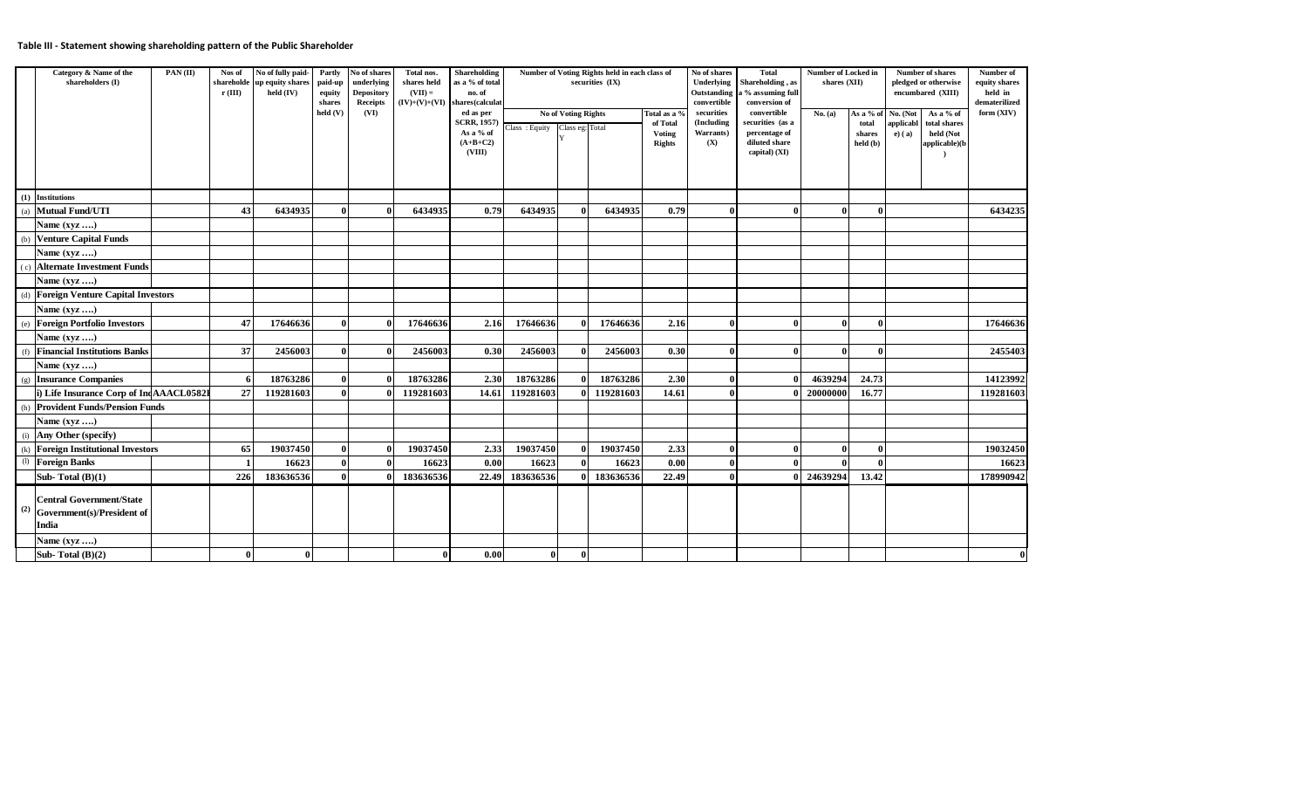## **Table III - Statement showing shareholding pattern of the Public Shareholder**

| Category & Name of the<br>shareholders (I)                                                                 | PAN(II) | Nos of<br>shareholde<br>r(III) | No of fully paid-<br>up equity shares<br>held (IV) | Partly<br>paid-up<br>equity<br>shares<br>held (V) | No of shares<br>underlying<br><b>Depository</b><br>Receipts<br>(VI) | Total nos.<br>shares held<br>$(VII) =$ | Shareholding<br>as a % of total<br>no. of<br>$(IV)+(V)+(VI)$ shares(calculat<br>ed as per<br><b>SCRR, 1957)</b><br>As a % of<br>$(A+B+C2)$<br>(VIII) | Class: Equity Class eg: Total | No of Voting Rights<br>Y | Number of Voting Rights held in each class of<br>securities (IX) | Total as a 9<br>of Total<br>Voting<br><b>Rights</b> | No of shares<br><b>Underlying</b><br>Outstanding<br>convertible<br>securities<br>(Including<br>Warrants)<br>(X) | <b>Total</b><br>Shareholding, as<br>a % assuming full<br>conversion of<br>convertible<br>securities (as a<br>percentage of<br>diluted share<br>capital) (XI) | Number of Locked in<br>shares (XII)<br>No. (a) | As a % of<br>total<br>shares<br>held (b) | <b>Number of shares</b><br>pledged or otherwise<br>encumbared (XIII)<br>No. (Not<br>As a % of<br>applicabl<br>total shares<br>held (Not<br>$e)$ (a)<br>applicable)(b | Number of<br>equity shares<br>held in<br>dematerilized<br>form $(XIV)$ |
|------------------------------------------------------------------------------------------------------------|---------|--------------------------------|----------------------------------------------------|---------------------------------------------------|---------------------------------------------------------------------|----------------------------------------|------------------------------------------------------------------------------------------------------------------------------------------------------|-------------------------------|--------------------------|------------------------------------------------------------------|-----------------------------------------------------|-----------------------------------------------------------------------------------------------------------------|--------------------------------------------------------------------------------------------------------------------------------------------------------------|------------------------------------------------|------------------------------------------|----------------------------------------------------------------------------------------------------------------------------------------------------------------------|------------------------------------------------------------------------|
| (1) Institutions                                                                                           |         |                                |                                                    |                                                   |                                                                     |                                        |                                                                                                                                                      |                               |                          |                                                                  |                                                     |                                                                                                                 |                                                                                                                                                              |                                                |                                          |                                                                                                                                                                      |                                                                        |
| <b>Mutual Fund/UTI</b><br>(a)                                                                              |         | 43                             | 6434935                                            | $\bf{0}$                                          |                                                                     | 6434935                                | 0.79                                                                                                                                                 | 6434935                       | 0                        | 6434935                                                          | 0.79                                                | 0                                                                                                               |                                                                                                                                                              | $\theta$                                       |                                          |                                                                                                                                                                      | 6434235                                                                |
| Name $(xyz \dots)$                                                                                         |         |                                |                                                    |                                                   |                                                                     |                                        |                                                                                                                                                      |                               |                          |                                                                  |                                                     |                                                                                                                 |                                                                                                                                                              |                                                |                                          |                                                                                                                                                                      |                                                                        |
| <b>Venture Capital Funds</b><br>(b)                                                                        |         |                                |                                                    |                                                   |                                                                     |                                        |                                                                                                                                                      |                               |                          |                                                                  |                                                     |                                                                                                                 |                                                                                                                                                              |                                                |                                          |                                                                                                                                                                      |                                                                        |
| Name (xyz )                                                                                                |         |                                |                                                    |                                                   |                                                                     |                                        |                                                                                                                                                      |                               |                          |                                                                  |                                                     |                                                                                                                 |                                                                                                                                                              |                                                |                                          |                                                                                                                                                                      |                                                                        |
| <b>Alternate Investment Funds</b><br>(c)                                                                   |         |                                |                                                    |                                                   |                                                                     |                                        |                                                                                                                                                      |                               |                          |                                                                  |                                                     |                                                                                                                 |                                                                                                                                                              |                                                |                                          |                                                                                                                                                                      |                                                                        |
| Name $(xyz \dots)$                                                                                         |         |                                |                                                    |                                                   |                                                                     |                                        |                                                                                                                                                      |                               |                          |                                                                  |                                                     |                                                                                                                 |                                                                                                                                                              |                                                |                                          |                                                                                                                                                                      |                                                                        |
| <b>Foreign Venture Capital Investors</b><br>(d)                                                            |         |                                |                                                    |                                                   |                                                                     |                                        |                                                                                                                                                      |                               |                          |                                                                  |                                                     |                                                                                                                 |                                                                                                                                                              |                                                |                                          |                                                                                                                                                                      |                                                                        |
| Name $(xyz$                                                                                                |         |                                |                                                    |                                                   |                                                                     |                                        |                                                                                                                                                      |                               |                          |                                                                  |                                                     |                                                                                                                 |                                                                                                                                                              |                                                |                                          |                                                                                                                                                                      |                                                                        |
| <b>Foreign Portfolio Investors</b><br>(e)                                                                  |         | 47                             | 17646636                                           | $\mathbf{0}$                                      |                                                                     | 17646636                               | 2.16                                                                                                                                                 | 17646636                      |                          | 17646636                                                         | 2.16                                                | $\theta$                                                                                                        | $\mathbf{0}$                                                                                                                                                 | $\theta$                                       |                                          |                                                                                                                                                                      | 17646636                                                               |
| Name $(xyz \dots)$                                                                                         |         |                                |                                                    |                                                   |                                                                     |                                        |                                                                                                                                                      |                               |                          |                                                                  |                                                     |                                                                                                                 |                                                                                                                                                              |                                                |                                          |                                                                                                                                                                      |                                                                        |
| <b>Financial Institutions Banks</b><br>(f)                                                                 |         | 37                             | 2456003                                            | $\mathbf{0}$                                      |                                                                     | 2456003                                | 0.30                                                                                                                                                 | 2456003                       | $\bf{0}$                 | 2456003                                                          | 0.30                                                | $\mathbf{0}$                                                                                                    |                                                                                                                                                              | $\mathbf{0}$                                   |                                          |                                                                                                                                                                      | 2455403                                                                |
| Name (xyz )                                                                                                |         |                                |                                                    |                                                   |                                                                     |                                        |                                                                                                                                                      |                               |                          |                                                                  |                                                     |                                                                                                                 |                                                                                                                                                              |                                                |                                          |                                                                                                                                                                      |                                                                        |
| <b>Insurance Companies</b><br>(g)                                                                          |         |                                | 18763286                                           | $\bf{0}$                                          |                                                                     | 18763286                               | 2.30                                                                                                                                                 | 18763286                      | $\Omega$                 | 18763286                                                         | 2.30                                                | 0                                                                                                               |                                                                                                                                                              | 4639294                                        | 24.73                                    |                                                                                                                                                                      | 14123992                                                               |
| i) Life Insurance Corp of IndAAACL0582I                                                                    |         | 27                             | 119281603                                          | $\mathbf{0}$                                      |                                                                     | 119281603                              | 14.61                                                                                                                                                | 119281603                     | $\bf{0}$                 | 119281603                                                        | 14.61                                               | 0                                                                                                               |                                                                                                                                                              | 20000000                                       | 16.77                                    |                                                                                                                                                                      | 119281603                                                              |
| <b>Provident Funds/Pension Funds</b><br>(h)                                                                |         |                                |                                                    |                                                   |                                                                     |                                        |                                                                                                                                                      |                               |                          |                                                                  |                                                     |                                                                                                                 |                                                                                                                                                              |                                                |                                          |                                                                                                                                                                      |                                                                        |
| Name $(xyz \ldots)$                                                                                        |         |                                |                                                    |                                                   |                                                                     |                                        |                                                                                                                                                      |                               |                          |                                                                  |                                                     |                                                                                                                 |                                                                                                                                                              |                                                |                                          |                                                                                                                                                                      |                                                                        |
| Any Other (specify)<br>(i)                                                                                 |         |                                |                                                    |                                                   |                                                                     |                                        |                                                                                                                                                      |                               |                          |                                                                  |                                                     |                                                                                                                 |                                                                                                                                                              |                                                |                                          |                                                                                                                                                                      |                                                                        |
| <b>Foreign Institutional Investors</b><br>(k)                                                              |         | 65                             | 19037450                                           | 0                                                 |                                                                     | 19037450                               | 2.33                                                                                                                                                 | 19037450                      | $\theta$                 | 19037450                                                         | 2.33                                                | 0                                                                                                               |                                                                                                                                                              | $\mathbf 0$                                    |                                          |                                                                                                                                                                      | 19032450                                                               |
| $\left( 1\right)$<br><b>Foreign Banks</b>                                                                  |         |                                | 16623                                              | $\bf{0}$                                          |                                                                     | 16623                                  | 0.00                                                                                                                                                 | 16623                         | 0                        | 16623                                                            | 0.00                                                |                                                                                                                 |                                                                                                                                                              | $\Omega$                                       |                                          |                                                                                                                                                                      | 16623                                                                  |
| Sub-Total $(B)(1)$                                                                                         |         | 226                            | 183636536                                          | $\mathbf{0}$                                      |                                                                     | 183636536                              | 22.49                                                                                                                                                | 183636536                     | $\mathbf{0}$             | 183636536                                                        | 22.49                                               | 0                                                                                                               | $\mathbf{v}$                                                                                                                                                 | 24639294                                       | 13.42                                    |                                                                                                                                                                      | 178990942                                                              |
| <b>Central Government/State</b><br>(2)<br>Government(s)/President of<br><b>India</b><br>Name $(xyz \dots)$ |         |                                |                                                    |                                                   |                                                                     |                                        |                                                                                                                                                      |                               |                          |                                                                  |                                                     |                                                                                                                 |                                                                                                                                                              |                                                |                                          |                                                                                                                                                                      |                                                                        |
| Sub-Total $(B)(2)$                                                                                         |         | $\bf{0}$                       | $\mathbf{0}$                                       |                                                   |                                                                     | $\bf{0}$                               | 0.00                                                                                                                                                 | $\bf{0}$                      | $\bf{0}$                 |                                                                  |                                                     |                                                                                                                 |                                                                                                                                                              |                                                |                                          |                                                                                                                                                                      | $\bf{0}$                                                               |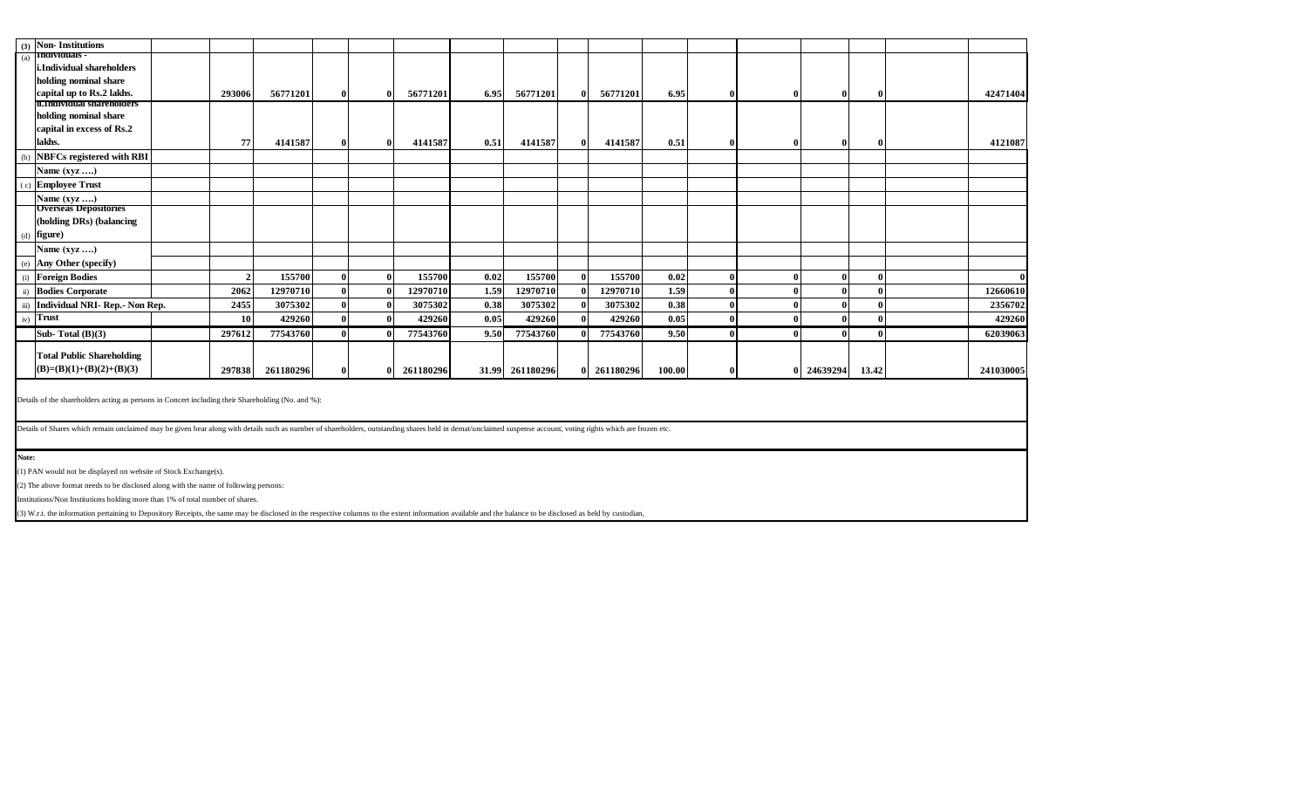| (3)   | <b>Non-Institutions</b>                                                                                                                                                                                        |  |                |           |              |              |           |      |                 |              |             |        |          |          |              |              |              |
|-------|----------------------------------------------------------------------------------------------------------------------------------------------------------------------------------------------------------------|--|----------------|-----------|--------------|--------------|-----------|------|-----------------|--------------|-------------|--------|----------|----------|--------------|--------------|--------------|
| (a)   | Individuals -                                                                                                                                                                                                  |  |                |           |              |              |           |      |                 |              |             |        |          |          |              |              |              |
|       | i.Individual shareholders                                                                                                                                                                                      |  |                |           |              |              |           |      |                 |              |             |        |          |          |              |              |              |
|       | holding nominal share                                                                                                                                                                                          |  |                |           |              |              |           |      |                 |              |             |        |          |          |              |              |              |
|       | capital up to Rs.2 lakhs.<br><b>n.individual shareholders</b>                                                                                                                                                  |  | 293006         | 56771201  | $\mathbf{0}$ | 0            | 56771201  | 6.95 | 56771201        | $\bf{0}$     | 56771201    | 6.95   | $\Omega$ | $\bf{0}$ | $\bf{0}$     | $\mathbf{0}$ | 42471404     |
|       | holding nominal share                                                                                                                                                                                          |  |                |           |              |              |           |      |                 |              |             |        |          |          |              |              |              |
|       | capital in excess of Rs.2                                                                                                                                                                                      |  |                |           |              |              |           |      |                 |              |             |        |          |          |              |              |              |
|       | lakhs.                                                                                                                                                                                                         |  |                |           |              |              |           |      |                 |              |             |        |          |          |              |              |              |
|       |                                                                                                                                                                                                                |  | 77             | 4141587   | $\mathbf{0}$ | 0            | 4141587   | 0.51 | 4141587         | $\bf{0}$     | 4141587     | 0.51   |          | 0        | $\bf{0}$     | 0            | 4121087      |
| (b)   | <b>NBFCs registered with RBI</b>                                                                                                                                                                               |  |                |           |              |              |           |      |                 |              |             |        |          |          |              |              |              |
|       | Name $(xyz$                                                                                                                                                                                                    |  |                |           |              |              |           |      |                 |              |             |        |          |          |              |              |              |
|       | (c) Employee Trust                                                                                                                                                                                             |  |                |           |              |              |           |      |                 |              |             |        |          |          |              |              |              |
|       | Name $(xyz \ldots)$                                                                                                                                                                                            |  |                |           |              |              |           |      |                 |              |             |        |          |          |              |              |              |
|       | <b>Overseas Depositories</b>                                                                                                                                                                                   |  |                |           |              |              |           |      |                 |              |             |        |          |          |              |              |              |
|       | (holding DRs) (balancing                                                                                                                                                                                       |  |                |           |              |              |           |      |                 |              |             |        |          |          |              |              |              |
|       | $(d)$ figure)                                                                                                                                                                                                  |  |                |           |              |              |           |      |                 |              |             |        |          |          |              |              |              |
|       | Name $(xyz \ldots)$                                                                                                                                                                                            |  |                |           |              |              |           |      |                 |              |             |        |          |          |              |              |              |
| (e)   | Any Other (specify)                                                                                                                                                                                            |  |                |           |              |              |           |      |                 |              |             |        |          |          |              |              |              |
|       | (i) Foreign Bodies                                                                                                                                                                                             |  | $\overline{2}$ | 155700    | $\mathbf{0}$ | $\theta$     | 155700    | 0.02 | 155700          | $\Omega$     | 155700      | 0.02   |          | 0        | $\bf{0}$     | 0            | $\mathbf{0}$ |
|       | ii) Bodies Corporate                                                                                                                                                                                           |  | 2062           | 12970710  | $\mathbf{0}$ | $\theta$     | 12970710  | 1.59 | 12970710        |              | 12970710    | 1.59   |          |          | $\bf{0}$     | £            | 12660610     |
|       | iii) Individual NRI- Rep.- Non Rep.                                                                                                                                                                            |  | 2455           | 3075302   | $\mathbf 0$  | $\mathbf{0}$ | 3075302   | 0.38 | 3075302         | $\mathbf{0}$ | 3075302     | 0.38   |          |          | $\bf{0}$     |              | 2356702      |
| iv)   | Trust                                                                                                                                                                                                          |  | 10             | 429260    | $\bf{0}$     | 0            | 429260    | 0.05 | 429260          | $\mathbf{v}$ | 429260      | 0.05   |          | 0        | $\bf{0}$     |              | 429260       |
|       | Sub-Total $(B)(3)$                                                                                                                                                                                             |  | 297612         | 77543760  | $\mathbf{0}$ |              | 77543760  | 9.50 | 77543760        |              | 77543760    | 9.50   |          |          | $\mathbf{0}$ | 0            | 62039063     |
|       |                                                                                                                                                                                                                |  |                |           |              |              |           |      |                 |              |             |        |          |          |              |              |              |
|       | <b>Total Public Shareholding</b>                                                                                                                                                                               |  |                |           |              |              |           |      |                 |              |             |        |          |          |              |              |              |
|       | $(B)=(B)(1)+(B)(2)+(B)(3)$                                                                                                                                                                                     |  | 297838         | 261180296 | $\mathbf{0}$ | Λ            | 261180296 |      | 31.99 261180296 |              | 0 261180296 | 100.00 |          |          | 24639294     | 13.42        | 241030005    |
|       |                                                                                                                                                                                                                |  |                |           |              |              |           |      |                 |              |             |        |          |          |              |              |              |
|       | Details of the shareholders acting as persons in Concert including their Shareholding (No. and %):                                                                                                             |  |                |           |              |              |           |      |                 |              |             |        |          |          |              |              |              |
|       |                                                                                                                                                                                                                |  |                |           |              |              |           |      |                 |              |             |        |          |          |              |              |              |
|       | Details of Shares which remain unclaimed may be given hear along with details such as number of shareholders, outstanding shares held in demat/unclaimed suspense account, voting rights which are frozen etc. |  |                |           |              |              |           |      |                 |              |             |        |          |          |              |              |              |
|       |                                                                                                                                                                                                                |  |                |           |              |              |           |      |                 |              |             |        |          |          |              |              |              |
| Note: |                                                                                                                                                                                                                |  |                |           |              |              |           |      |                 |              |             |        |          |          |              |              |              |
|       | (1) PAN would not be displayed on website of Stock Exchange(s).                                                                                                                                                |  |                |           |              |              |           |      |                 |              |             |        |          |          |              |              |              |
|       | (2) The above format needs to be disclosed along with the name of following persons:                                                                                                                           |  |                |           |              |              |           |      |                 |              |             |        |          |          |              |              |              |
|       | Institutions/Non Institutions holding more than 1% of total number of shares.                                                                                                                                  |  |                |           |              |              |           |      |                 |              |             |        |          |          |              |              |              |
|       | (3) W.r.t. the information pertaining to Depository Receipts, the same may be disclosed in the respective columns to the extent information available and the balance to be disclosed as held by custodian,    |  |                |           |              |              |           |      |                 |              |             |        |          |          |              |              |              |